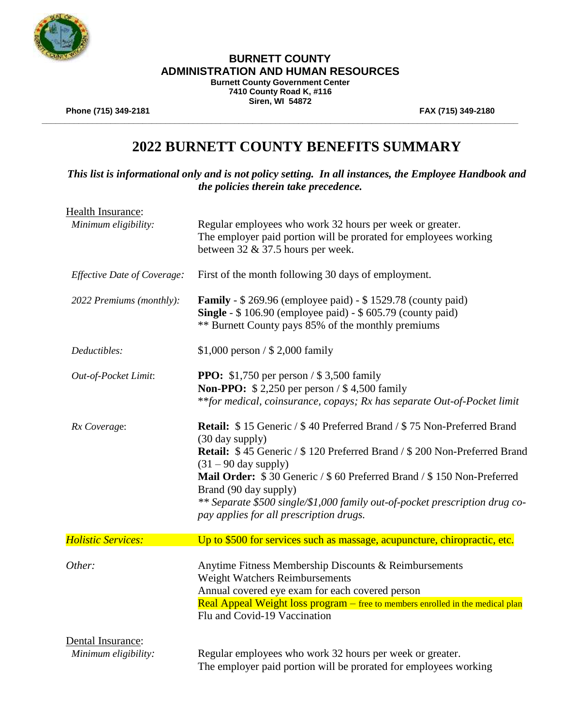

**Burnett County Government Center 7410 County Road K, #116 Siren, WI 54872**

**\_\_\_\_\_\_\_\_\_\_\_\_\_\_\_\_\_\_\_\_\_\_\_\_\_\_\_\_\_\_\_\_\_\_\_\_\_\_\_\_\_\_\_\_\_\_\_\_\_\_\_\_\_\_\_\_\_\_\_\_\_\_\_\_\_\_\_\_\_\_\_\_\_\_\_\_\_\_\_\_\_\_\_\_\_\_\_\_\_\_\_\_\_\_\_\_\_\_\_\_\_\_\_\_**

**Phone (715) 349-2181 FAX (715) 349-2180**

# **2022 BURNETT COUNTY BENEFITS SUMMARY**

*This list is informational only and is not policy setting. In all instances, the Employee Handbook and the policies therein take precedence.*

| Health Insurance:<br>Minimum eligibility: | Regular employees who work 32 hours per week or greater.<br>The employer paid portion will be prorated for employees working<br>between $32 \& 37.5$ hours per week.                                                                                                                                                                                                                                                        |
|-------------------------------------------|-----------------------------------------------------------------------------------------------------------------------------------------------------------------------------------------------------------------------------------------------------------------------------------------------------------------------------------------------------------------------------------------------------------------------------|
| <b>Effective Date of Coverage:</b>        | First of the month following 30 days of employment.                                                                                                                                                                                                                                                                                                                                                                         |
| 2022 Premiums (monthly):                  | <b>Family</b> - \$269.96 (employee paid) - \$1529.78 (county paid)<br>Single - \$106.90 (employee paid) - \$605.79 (county paid)<br>** Burnett County pays 85% of the monthly premiums                                                                                                                                                                                                                                      |
| Deductibles:                              | \$1,000 person / \$2,000 family                                                                                                                                                                                                                                                                                                                                                                                             |
| Out-of-Pocket Limit:                      | <b>PPO:</b> \$1,750 per person / \$3,500 family<br><b>Non-PPO:</b> \$2,250 per person / \$4,500 family<br>**for medical, coinsurance, copays; Rx has separate Out-of-Pocket limit                                                                                                                                                                                                                                           |
| Rx Coverage:                              | Retail: \$15 Generic / \$40 Preferred Brand / \$75 Non-Preferred Brand<br>(30 day supply)<br>Retail: \$45 Generic / \$120 Preferred Brand / \$200 Non-Preferred Brand<br>$(31 – 90$ day supply)<br>Mail Order: \$30 Generic / \$60 Preferred Brand / \$150 Non-Preferred<br>Brand (90 day supply)<br>** Separate \$500 single/\$1,000 family out-of-pocket prescription drug co-<br>pay applies for all prescription drugs. |
| <b>Holistic Services:</b>                 | Up to \$500 for services such as massage, acupuncture, chiropractic, etc.                                                                                                                                                                                                                                                                                                                                                   |
| Other:                                    | Anytime Fitness Membership Discounts & Reimbursements<br>Weight Watchers Reimbursements<br>Annual covered eye exam for each covered person<br>Real Appeal Weight loss program – free to members enrolled in the medical plan<br>Flu and Covid-19 Vaccination                                                                                                                                                                |
| Dental Insurance:<br>Minimum eligibility: | Regular employees who work 32 hours per week or greater.<br>The employer paid portion will be prorated for employees working                                                                                                                                                                                                                                                                                                |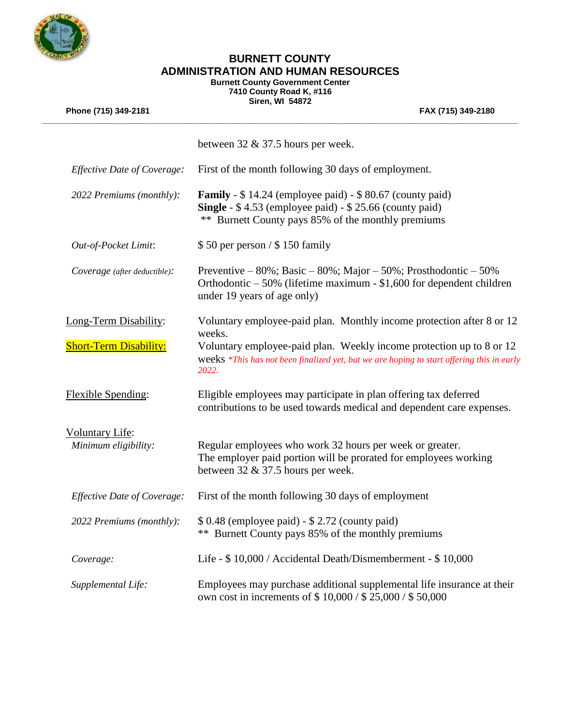

**Burnett County Government Center** 

**7410 County Road K, #116 Siren, WI 54872**

| Phone (715) 349-2181          | FAX (715) 349-2180                                                                                                                                                                      |
|-------------------------------|-----------------------------------------------------------------------------------------------------------------------------------------------------------------------------------------|
|                               | between $32 \& 37.5$ hours per week.                                                                                                                                                    |
| Effective Date of Coverage:   | First of the month following 30 days of employment.                                                                                                                                     |
| 2022 Premiums (monthly):      | <b>Family</b> - \$14.24 (employee paid) - \$80.67 (county paid)<br>Single - \$4.53 (employee paid) - \$25.66 (county paid)<br>** Burnett County pays 85% of the monthly premiums        |
| Out-of-Pocket Limit:          | $$50$ per person / $$150$ family                                                                                                                                                        |
| Coverage (after deductible):  | Preventive – $80\%$ ; Basic – $80\%$ ; Major – $50\%$ ; Prosthodontic – $50\%$<br>Orthodontic $-50\%$ (lifetime maximum - \$1,600 for dependent children<br>under 19 years of age only) |
| Long-Term Disability:         | Voluntary employee-paid plan. Monthly income protection after 8 or 12<br>weeks.                                                                                                         |
| <b>Short-Term Disability:</b> | Voluntary employee-paid plan. Weekly income protection up to 8 or 12<br>weeks *This has not been finalized yet, but we are hoping to start offering this in early<br>2022.              |
| <b>Flexible Spending:</b>     | Eligible employees may participate in plan offering tax deferred<br>contributions to be used towards medical and dependent care expenses.                                               |
| <b>Voluntary Life:</b>        |                                                                                                                                                                                         |
| Minimum eligibility:          | Regular employees who work 32 hours per week or greater.<br>The employer paid portion will be prorated for employees working<br>between 32 & 37.5 hours per week.                       |
| Effective Date of Coverage:   | First of the month following 30 days of employment                                                                                                                                      |
| 2022 Premiums (monthly):      | \$ 0.48 (employee paid) - \$ 2.72 (county paid)<br>** Burnett County pays 85% of the monthly premiums                                                                                   |
| Coverage:                     | Life - \$10,000 / Accidental Death/Dismemberment - \$10,000                                                                                                                             |
| Supplemental Life:            | Employees may purchase additional supplemental life insurance at their<br>own cost in increments of \$10,000 / \$25,000 / \$50,000                                                      |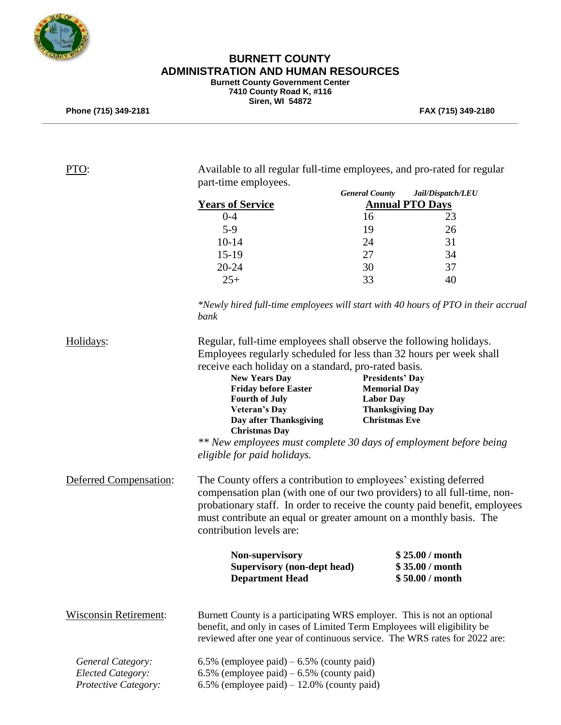

#### **BURNETT COUNTY ADMINISTRATION AND HUMAN RESOURCES Burnett County Government Center**

**7410 County Road K, #116 Siren, WI 54872**

**\_\_\_\_\_\_\_\_\_\_\_\_\_\_\_\_\_\_\_\_\_\_\_\_\_\_\_\_\_\_\_\_\_\_\_\_\_\_\_\_\_\_\_\_\_\_\_\_\_\_\_\_\_\_\_\_\_\_\_\_\_\_\_\_\_\_\_\_\_\_\_\_\_\_\_\_\_\_\_\_\_\_\_\_\_\_\_\_\_\_\_\_\_\_\_\_\_\_\_\_\_\_\_\_**

**Phone (715) 349-2181 FAX (715) 349-2180**

| PTO:                         | Available to all regular full-time employees, and pro-rated for regular<br>part-time employees.                                                                                                                                                                                                                              |                                               |                                                       |  |
|------------------------------|------------------------------------------------------------------------------------------------------------------------------------------------------------------------------------------------------------------------------------------------------------------------------------------------------------------------------|-----------------------------------------------|-------------------------------------------------------|--|
|                              |                                                                                                                                                                                                                                                                                                                              | <b>General County</b>                         | Jail/Dispatch/LEU                                     |  |
|                              | <b>Years of Service</b>                                                                                                                                                                                                                                                                                                      |                                               | <b>Annual PTO Days</b>                                |  |
|                              | $0 - 4$                                                                                                                                                                                                                                                                                                                      | 16                                            | 23                                                    |  |
|                              | $5-9$                                                                                                                                                                                                                                                                                                                        | 19                                            | 26                                                    |  |
|                              | $10 - 14$                                                                                                                                                                                                                                                                                                                    | 24                                            | 31                                                    |  |
|                              | $15-19$                                                                                                                                                                                                                                                                                                                      | 27                                            | 34                                                    |  |
|                              | 20-24                                                                                                                                                                                                                                                                                                                        | 30                                            | 37                                                    |  |
|                              | $25+$                                                                                                                                                                                                                                                                                                                        | 33                                            | 40                                                    |  |
|                              | *Newly hired full-time employees will start with 40 hours of PTO in their accrual<br>bank                                                                                                                                                                                                                                    |                                               |                                                       |  |
| Holidays:                    | Regular, full-time employees shall observe the following holidays.<br>Employees regularly scheduled for less than 32 hours per week shall<br>receive each holiday on a standard, pro-rated basis.                                                                                                                            |                                               |                                                       |  |
|                              | <b>New Years Day</b><br><b>Friday before Easter</b>                                                                                                                                                                                                                                                                          | <b>Presidents' Day</b><br><b>Memorial Day</b> |                                                       |  |
|                              | <b>Fourth of July</b><br><b>Veteran's Day</b>                                                                                                                                                                                                                                                                                | <b>Labor Day</b>                              | <b>Thanksgiving Day</b>                               |  |
|                              | Day after Thanksgiving                                                                                                                                                                                                                                                                                                       | <b>Christmas Eve</b>                          |                                                       |  |
|                              | <b>Christmas Day</b><br>** New employees must complete 30 days of employment before being                                                                                                                                                                                                                                    |                                               |                                                       |  |
|                              | eligible for paid holidays.                                                                                                                                                                                                                                                                                                  |                                               |                                                       |  |
| Deferred Compensation:       | The County offers a contribution to employees' existing deferred<br>compensation plan (with one of our two providers) to all full-time, non-<br>probationary staff. In order to receive the county paid benefit, employees<br>must contribute an equal or greater amount on a monthly basis. The<br>contribution levels are: |                                               |                                                       |  |
|                              | Non-supervisory<br><b>Supervisory (non-dept head)</b><br><b>Department Head</b>                                                                                                                                                                                                                                              |                                               | \$25.00 / month<br>\$35.00 / month<br>\$50.00 / month |  |
| <b>Wisconsin Retirement:</b> | Burnett County is a participating WRS employer. This is not an optional<br>benefit, and only in cases of Limited Term Employees will eligibility be<br>reviewed after one year of continuous service. The WRS rates for 2022 are:                                                                                            |                                               |                                                       |  |
| General Category:            | 6.5% (employee paid) $-6.5%$ (county paid)                                                                                                                                                                                                                                                                                   |                                               |                                                       |  |
| Elected Category:            | 6.5% (employee paid) $-6.5%$ (county paid)                                                                                                                                                                                                                                                                                   |                                               |                                                       |  |
| Protective Category:         | 6.5% (employee paid) $-12.0$ % (county paid)                                                                                                                                                                                                                                                                                 |                                               |                                                       |  |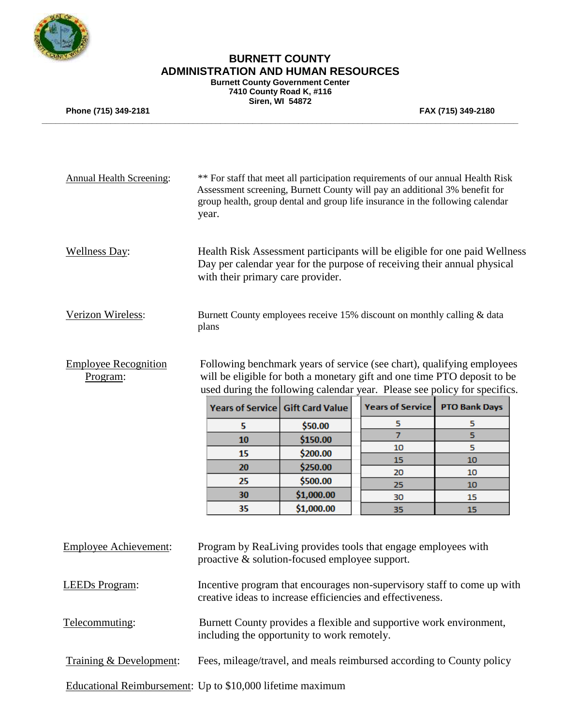

**Burnett County Government Center 7410 County Road K, #116**

**\_\_\_\_\_\_\_\_\_\_\_\_\_\_\_\_\_\_\_\_\_\_\_\_\_\_\_\_\_\_\_\_\_\_\_\_\_\_\_\_\_\_\_\_\_\_\_\_\_\_\_\_\_\_\_\_\_\_\_\_\_\_\_\_\_\_\_\_\_\_\_\_\_\_\_\_\_\_\_\_\_\_\_\_\_\_\_\_\_\_\_\_\_\_\_\_\_\_\_\_\_\_\_\_**

**Siren, WI 54872**

**Phone (715) 349-2181 FAX (715) 349-2180**

| <b>Annual Health Screening:</b>                            | ** For staff that meet all participation requirements of our annual Health Risk<br>Assessment screening, Burnett County will pay an additional 3% benefit for<br>group health, group dental and group life insurance in the following calendar<br>year. |                                  |                         |                      |  |
|------------------------------------------------------------|---------------------------------------------------------------------------------------------------------------------------------------------------------------------------------------------------------------------------------------------------------|----------------------------------|-------------------------|----------------------|--|
| <b>Wellness Day:</b>                                       | Health Risk Assessment participants will be eligible for one paid Wellness<br>Day per calendar year for the purpose of receiving their annual physical<br>with their primary care provider.                                                             |                                  |                         |                      |  |
| Verizon Wireless:                                          | Burnett County employees receive 15% discount on monthly calling & data<br>plans                                                                                                                                                                        |                                  |                         |                      |  |
| <b>Employee Recognition</b><br>Program:                    | Following benchmark years of service (see chart), qualifying employees<br>will be eligible for both a monetary gift and one time PTO deposit to be<br>used during the following calendar year. Please see policy for specifics.                         |                                  |                         |                      |  |
|                                                            |                                                                                                                                                                                                                                                         | Years of Service Gift Card Value | <b>Years of Service</b> | <b>PTO Bank Days</b> |  |
|                                                            | 5                                                                                                                                                                                                                                                       | \$50.00                          | 5                       | 5                    |  |
|                                                            | 10                                                                                                                                                                                                                                                      | \$150.00                         | $\overline{7}$          | 5                    |  |
|                                                            | 15                                                                                                                                                                                                                                                      | \$200.00                         | 10                      | 5                    |  |
|                                                            |                                                                                                                                                                                                                                                         |                                  | 15                      | 10                   |  |
|                                                            | 20                                                                                                                                                                                                                                                      | \$250.00                         | 20                      | 10                   |  |
|                                                            | 25                                                                                                                                                                                                                                                      | \$500.00                         | 25                      | 10                   |  |
|                                                            | 30<br>35                                                                                                                                                                                                                                                | \$1,000.00<br>\$1,000.00         | 30                      | 15                   |  |
| <b>Employee Achievement:</b>                               | Program by ReaLiving provides tools that engage employees with<br>proactive & solution-focused employee support.                                                                                                                                        |                                  | 35                      | 15                   |  |
| <b>LEEDs</b> Program:                                      | Incentive program that encourages non-supervisory staff to come up with<br>creative ideas to increase efficiencies and effectiveness.                                                                                                                   |                                  |                         |                      |  |
| Telecommuting:                                             | Burnett County provides a flexible and supportive work environment,<br>including the opportunity to work remotely.                                                                                                                                      |                                  |                         |                      |  |
| Training & Development:                                    | Fees, mileage/travel, and meals reimbursed according to County policy                                                                                                                                                                                   |                                  |                         |                      |  |
| Educational Reimbursement: Up to \$10,000 lifetime maximum |                                                                                                                                                                                                                                                         |                                  |                         |                      |  |